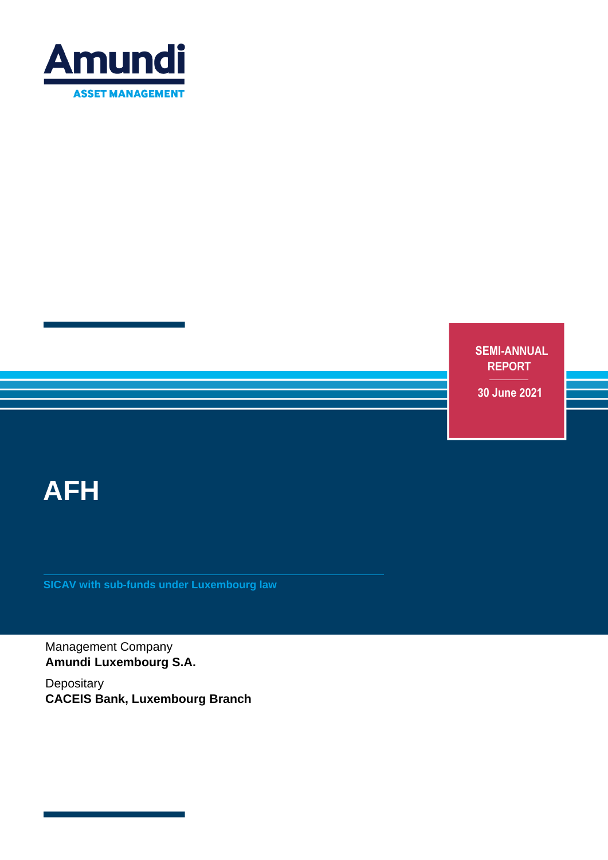

**SEMIANNUAL REPORT**

 **30 June 2021**



**SICAV with sub-funds under Luxembourg law**

Management Company **Amundi Luxembourg S.A.**

**Depositary CACEIS Bank, Luxembourg Branch**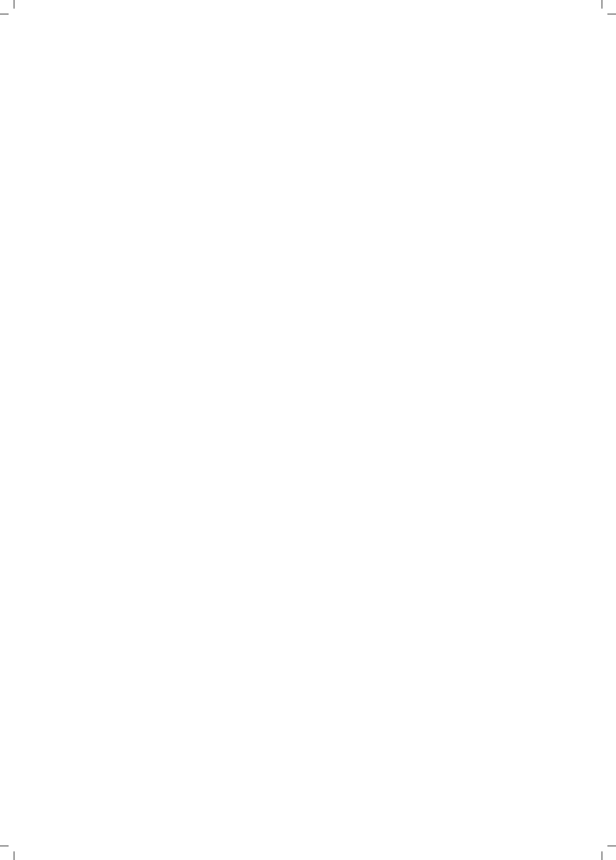$\sqrt{2}$ 

 $\sim$  1

 $\overline{\phantom{a}}$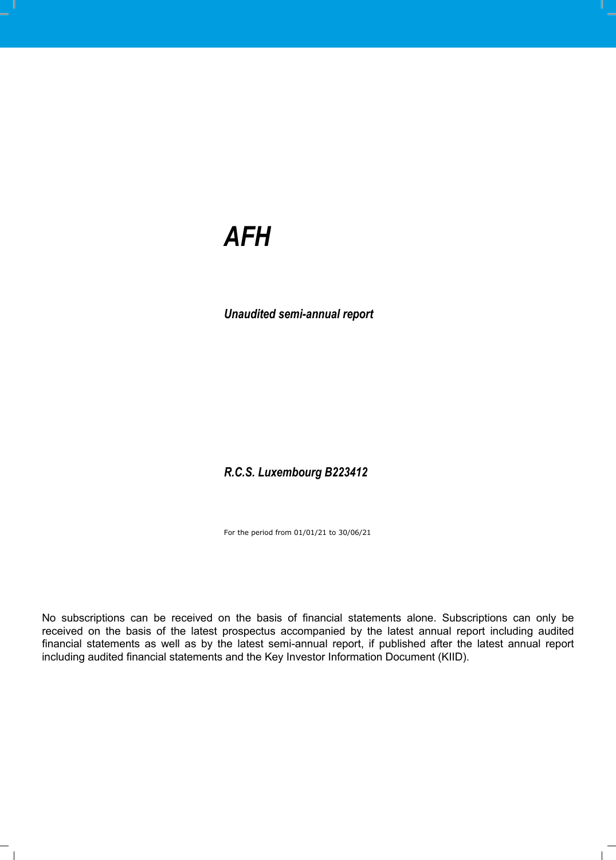# *AFH*

*Unaudited semi-annual report*

## *R.C.S. Luxembourg B223412*

For the period from 01/01/21 to 30/06/21

No subscriptions can be received on the basis of financial statements alone. Subscriptions can only be received on the basis of the latest prospectus accompanied by the latest annual report including audited financial statements as well as by the latest semi-annual report, if published after the latest annual report including audited financial statements and the Key Investor Information Document (KIID).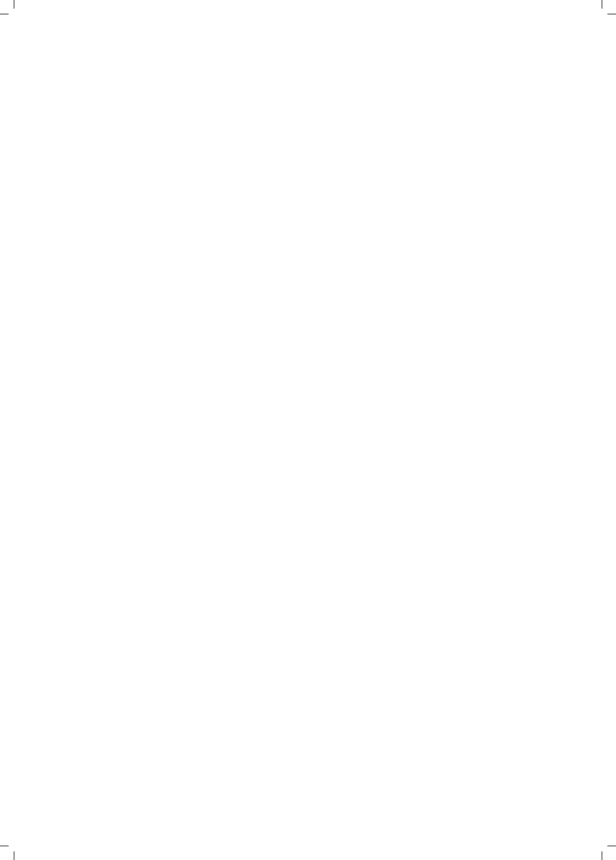$\sqrt{2}$ 

 $\sim$  1

 $\overline{\phantom{a}}$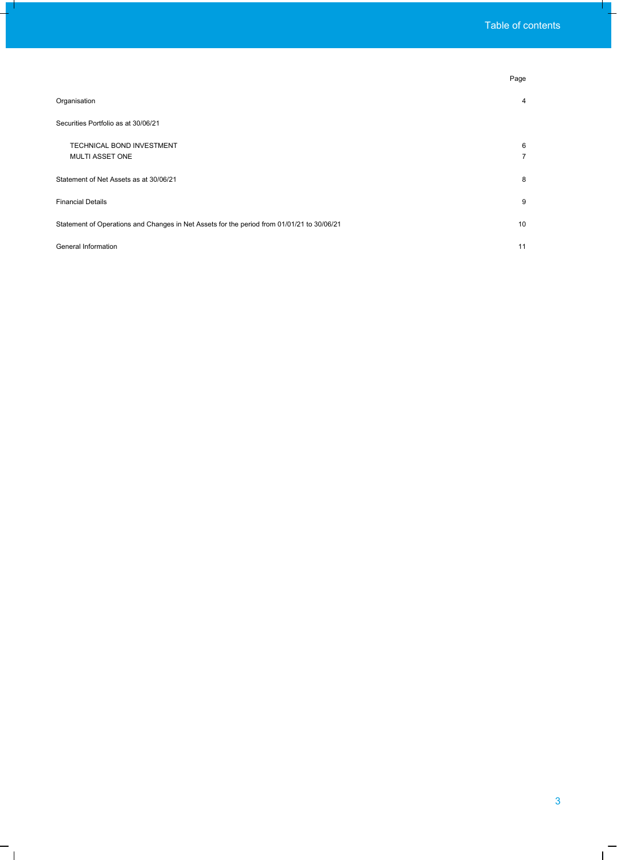|                                                                                            | Page |
|--------------------------------------------------------------------------------------------|------|
| Organisation                                                                               | 4    |
| Securities Portfolio as at 30/06/21                                                        |      |
| TECHNICAL BOND INVESTMENT<br>MULTI ASSET ONE                                               | 6    |
| Statement of Net Assets as at 30/06/21                                                     | 8    |
| <b>Financial Details</b>                                                                   | 9    |
| Statement of Operations and Changes in Net Assets for the period from 01/01/21 to 30/06/21 | 10   |
| General Information                                                                        | 11   |

 $\overline{\phantom{a}}_1$ 

 $\sqrt{2}$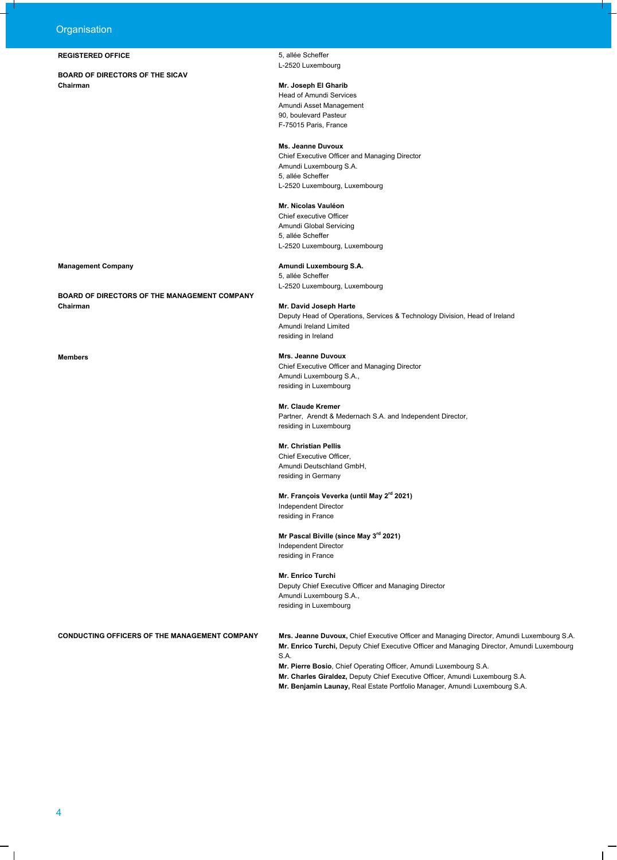## **Organisation**

#### **REGISTERED OFFICE** 5, allée Scheffer

**BOARD OF DIRECTORS OF THE SICAV Chairman** Mr. Joseph El Gharib

L-2520 Luxembourg

Head of Amundi Services Amundi Asset Management 90, boulevard Pasteur F-75015 Paris, France

**Ms. Jeanne Duvoux**  Chief Executive Officer and Managing Director Amundi Luxembourg S.A. 5, allée Scheffer L-2520 Luxembourg, Luxembourg

 **Mr. Nicolas Vauléon** Chief executive Officer Amundi Global Servicing 5, allée Scheffer

L-2520 Luxembourg, Luxembourg

### Management Company **Amundi Luxembourg S.A. Amundi** Luxembourg S.A.

5, allée Scheffer L-2520 Luxembourg, Luxembourg

**Mr. David Joseph Harte**  Deputy Head of Operations, Services & Technology Division, Head of Ireland Amundi Ireland Limited residing in Ireland

**Mrs. Jeanne Duvoux**  Chief Executive Officer and Managing Director Amundi Luxembourg S.A., residing in Luxembourg

**Mr. Claude Kremer**  Partner, Arendt & Medernach S.A. and Independent Director, residing in Luxembourg

**Mr. Christian Pellis**  Chief Executive Officer, Amundi Deutschland GmbH,

residing in Germany

**Mr. François Veverka (until May 2rd 2021)**  Independent Director residing in France

**Mr Pascal Biville (since May 3rd 2021)**  Independent Director residing in France

**Mr. Enrico Turchi**  Deputy Chief Executive Officer and Managing Director Amundi Luxembourg S.A., residing in Luxembourg

**CONDUCTING OFFICERS OF THE MANAGEMENT COMPANY Mrs. Jeanne Duvoux,** Chief Executive Officer and Managing Director, Amundi Luxembourg S.A. **Mr. Enrico Turchi,** Deputy Chief Executive Officer and Managing Director, Amundi Luxembourg S.A.

**Mr. Pierre Bosio**, Chief Operating Officer, Amundi Luxembourg S.A.

**Mr. Charles Giraldez,** Deputy Chief Executive Officer, Amundi Luxembourg S.A.

**Mr. Benjamin Launay,** Real Estate Portfolio Manager, Amundi Luxembourg S.A.

**BOARD OF DIRECTORS OF THE MANAGEMENT COMPANY Chairman** 

**Members** 

 $\sim 1$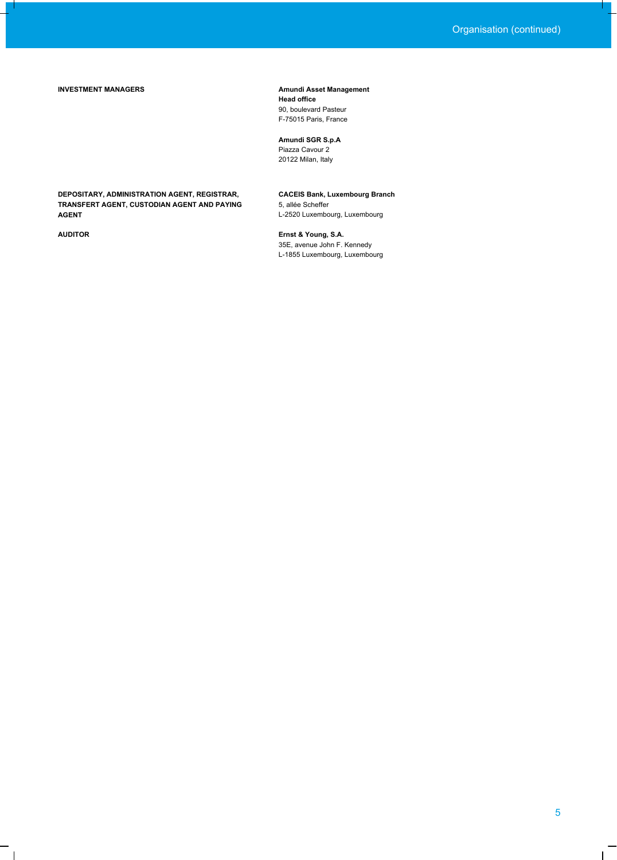#### **INVESTMENT MANAGERS**

**Amundi Asset Management Head office**  90, boulevard Pasteur F-75015 Paris, France

**Amundi SGR S.p.A**  Piazza Cavour 2 20122 Milan, Italy

**DEPOSITARY, ADMINISTRATION AGENT, REGISTRAR, TRANSFERT AGENT, CUSTODIAN AGENT AND PAYING AGENT** 

 $^{-}$   $_{\perp}$ 

**CACEIS Bank, Luxembourg Branch**  5, allée Scheffer L-2520 Luxembourg, Luxembourg

**AUDITOR Ernst & Young, S.A.**  35E, avenue John F. Kennedy L-1855 Luxembourg, Luxembourg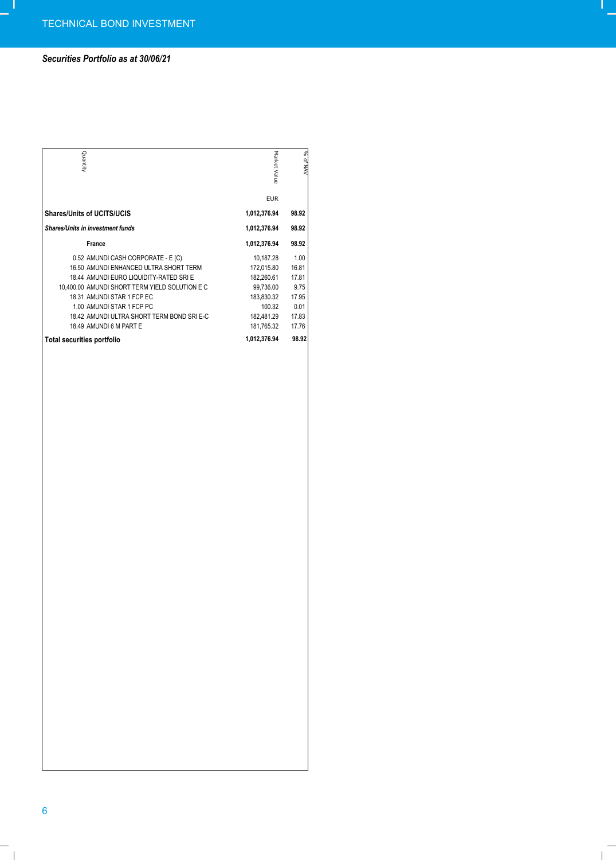## *Securities Portfolio as at 30/06/21*

| Quantity                                       | Market Value | % of NAV |
|------------------------------------------------|--------------|----------|
|                                                | <b>EUR</b>   |          |
| <b>Shares/Units of UCITS/UCIS</b>              | 1,012,376.94 | 98.92    |
| <b>Shares/Units in investment funds</b>        | 1,012,376.94 | 98.92    |
| <b>France</b>                                  | 1,012,376.94 | 98.92    |
| 0.52 AMUNDI CASH CORPORATE - E (C)             | 10,187.28    | 1.00     |
| 16.50 AMUNDI ENHANCED ULTRA SHORT TERM         | 172,015.80   | 16.81    |
| 18.44 AMUNDI EURO LIQUIDITY-RATED SRI E        | 182,260.61   | 17.81    |
| 10,400.00 AMUNDI SHORT TERM YIELD SOLUTION E C | 99,736.00    | 9.75     |
| 18.31 AMUNDI STAR 1 FCP EC                     | 183,830.32   | 17.95    |
| 1.00 AMUNDI STAR 1 FCP PC                      | 100.32       | 0.01     |
| 18.42 AMUNDI ULTRA SHORT TERM BOND SRI E-C     | 182,481.29   | 17.83    |
| 18.49 AMUNDI 6 M PART E                        | 181.765.32   | 17.76    |
| <b>Total securities portfolio</b>              | 1,012,376.94 | 98.92    |

 $^-$  1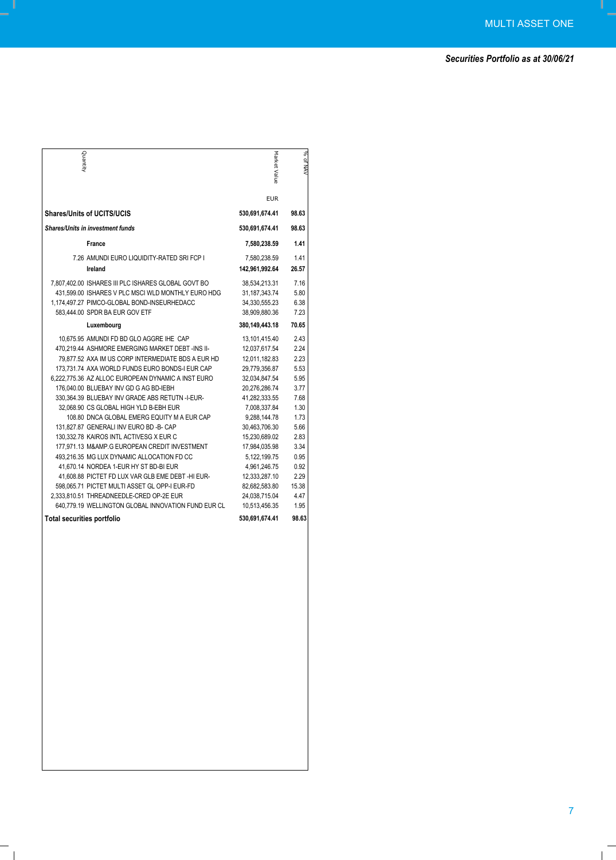*Securities Portfolio as at 30/06/21*

| Quantity                   |                                                                                                                                                                                                                                                                                                                                                                                                                                                                                                                                                                                                                                        | Market Value                                                                                                                                                                                                           | ℅<br>ءِ<br>VAN                                                                                       |
|----------------------------|----------------------------------------------------------------------------------------------------------------------------------------------------------------------------------------------------------------------------------------------------------------------------------------------------------------------------------------------------------------------------------------------------------------------------------------------------------------------------------------------------------------------------------------------------------------------------------------------------------------------------------------|------------------------------------------------------------------------------------------------------------------------------------------------------------------------------------------------------------------------|------------------------------------------------------------------------------------------------------|
|                            |                                                                                                                                                                                                                                                                                                                                                                                                                                                                                                                                                                                                                                        | <b>EUR</b>                                                                                                                                                                                                             |                                                                                                      |
|                            | <b>Shares/Units of UCITS/UCIS</b>                                                                                                                                                                                                                                                                                                                                                                                                                                                                                                                                                                                                      | 530,691,674.41                                                                                                                                                                                                         | 98.63                                                                                                |
|                            | Shares/Units in investment funds                                                                                                                                                                                                                                                                                                                                                                                                                                                                                                                                                                                                       | 530,691,674.41                                                                                                                                                                                                         | 98.63                                                                                                |
|                            | France                                                                                                                                                                                                                                                                                                                                                                                                                                                                                                                                                                                                                                 | 7,580,238.59                                                                                                                                                                                                           | 1.41                                                                                                 |
|                            | 7.26 AMUNDI EURO LIQUIDITY-RATED SRI FCP I<br>Ireland                                                                                                                                                                                                                                                                                                                                                                                                                                                                                                                                                                                  | 7,580,238.59<br>142,961,992.64                                                                                                                                                                                         | 1.41<br>26.57                                                                                        |
|                            | 7,807,402.00 ISHARES III PLC ISHARES GLOBAL GOVT BO<br>431,599.00 ISHARES V PLC MSCI WLD MONTHLY EURO HDG<br>1,174,497.27 PIMCO-GLOBAL BOND-INSEURHEDACC<br>583,444.00 SPDR BA EUR GOV ETF                                                                                                                                                                                                                                                                                                                                                                                                                                             | 38,534,213.31<br>31, 187, 343. 74<br>34,330,555.23<br>38,909,880.36                                                                                                                                                    | 7.16<br>5.80<br>6.38<br>7.23                                                                         |
|                            | Luxembourg                                                                                                                                                                                                                                                                                                                                                                                                                                                                                                                                                                                                                             | 380,149,443.18                                                                                                                                                                                                         | 70.65                                                                                                |
|                            | 10,675.95 AMUNDI FD BD GLO AGGRE IHE CAP<br>470,219.44 ASHMORE EMERGING MARKET DEBT -INS II-<br>79,877.52 AXA IM US CORP INTERMEDIATE BDS A EUR HD<br>173,731.74 AXA WORLD FUNDS EURO BONDS-I EUR CAP<br>6,222,775.36 AZ ALLOC EUROPEAN DYNAMIC A INST EURO<br>176,040.00 BLUEBAY INV GD G AG BD-IEBH<br>330,364.39 BLUEBAY INV GRADE ABS RETUTN -I-EUR-<br>32,068.90 CS GLOBAL HIGH YLD B-EBH EUR<br>108.80 DNCA GLOBAL EMERG EQUITY M A EUR CAP<br>131,827.87 GENERALI INV EURO BD -B- CAP<br>130,332.78 KAIROS INTL ACTIVESG X EUR C<br>177,971.13 M&AMP.G EUROPEAN CREDIT INVESTMENT<br>493,216.35 MG LUX DYNAMIC ALLOCATION FD CC | 13,101,415.40<br>12,037,617.54<br>12,011,182.83<br>29,779,356.87<br>32,034,847.54<br>20,276,286.74<br>41,282,333.55<br>7,008,337.84<br>9,288,144.78<br>30,463,706.30<br>15,230,689.02<br>17,984,035.98<br>5,122,199.75 | 2.43<br>2.24<br>2.23<br>5.53<br>5.95<br>3.77<br>7.68<br>1.30<br>1.73<br>5.66<br>2.83<br>3.34<br>0.95 |
| Total securities portfolio | 41.670.14 NORDEA 1-EUR HY ST BD-BI EUR<br>41,608.88 PICTET FD LUX VAR GLB EME DEBT -HI EUR-<br>598,065.71 PICTET MULTI ASSET GL OPP-I EUR-FD<br>2,333,810.51 THREADNEEDLE-CRED OP-2E EUR<br>640,779.19 WELLINGTON GLOBAL INNOVATION FUND EUR CL                                                                                                                                                                                                                                                                                                                                                                                        | 4,961,246.75<br>12,333,287.10<br>82,682,583.80<br>24,038,715.04<br>10,513,456.35<br>530,691,674.41                                                                                                                     | 0.92<br>2.29<br>15.38<br>4.47<br>1.95<br>98.63                                                       |
|                            |                                                                                                                                                                                                                                                                                                                                                                                                                                                                                                                                                                                                                                        |                                                                                                                                                                                                                        |                                                                                                      |

 $\overline{\phantom{a}}$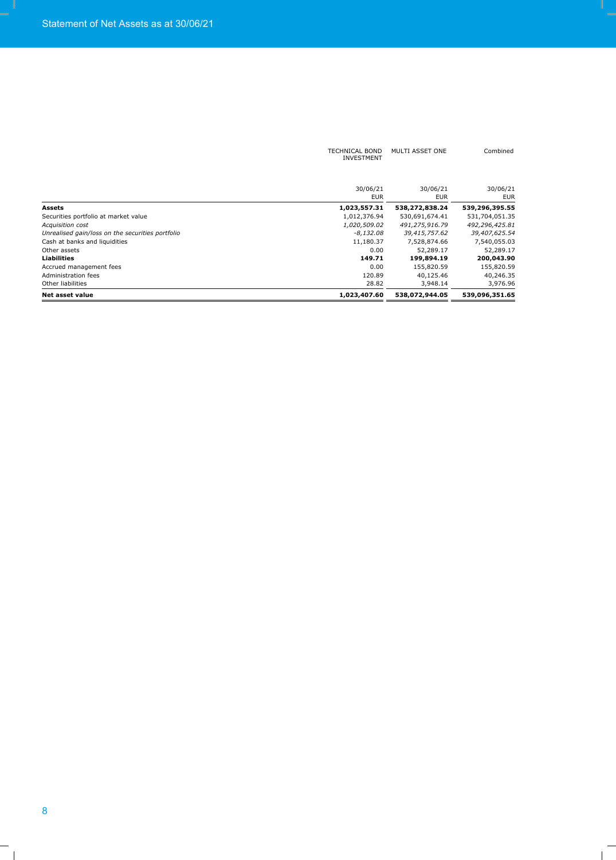J

| 3,976.96       |
|----------------|
|                |
| 40,246.35      |
| 155,820.59     |
| 200,043.90     |
| 52,289.17      |
| 7,540,055.03   |
| 39,407,625.54  |
| 492,296,425.81 |
| 531,704,051.35 |
| 539,296,395.55 |
| <b>EUR</b>     |
| 30/06/21       |
|                |
|                |
|                |

TECHNICAL BOND MULTI ASSET ONE Combined

Γ  $\overline{1}$ 

 $^{-}$  1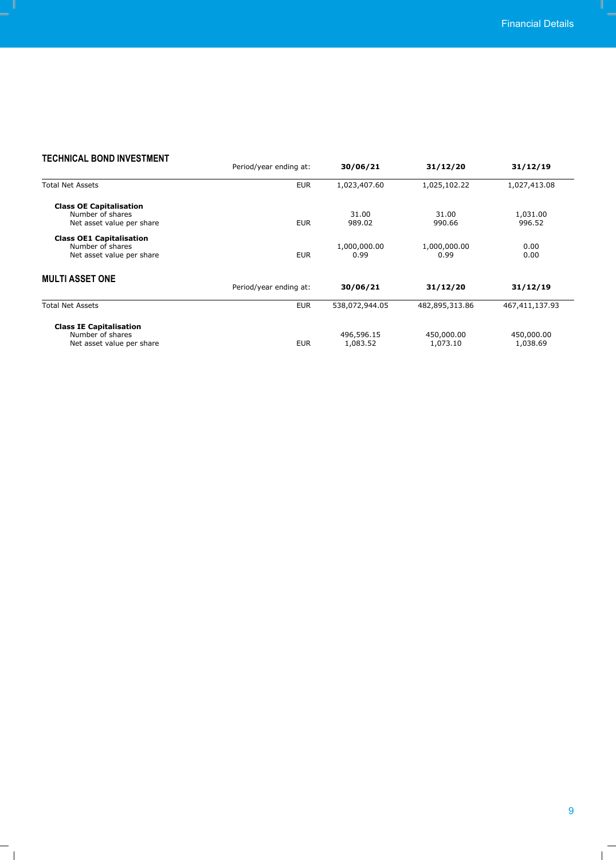U

## **TECHNICAL BOND INVESTMENT**

 $^{-}$  1

| I LUI INVAL DUND INVLUI IIILNI                                                   | Period/year ending at: | 30/06/21               | 31/12/20               | 31/12/19               |
|----------------------------------------------------------------------------------|------------------------|------------------------|------------------------|------------------------|
| <b>Total Net Assets</b>                                                          | <b>EUR</b>             | 1,023,407.60           | 1,025,102.22           | 1,027,413.08           |
| <b>Class OE Capitalisation</b><br>Number of shares<br>Net asset value per share  | <b>EUR</b>             | 31.00<br>989.02        | 31.00<br>990.66        | 1,031.00<br>996.52     |
| <b>Class OE1 Capitalisation</b><br>Number of shares<br>Net asset value per share | <b>EUR</b>             | 1,000,000.00<br>0.99   | 1,000,000.00<br>0.99   | 0.00<br>0.00           |
| <b>MULTI ASSET ONE</b>                                                           | Period/year ending at: | 30/06/21               | 31/12/20               | 31/12/19               |
| <b>Total Net Assets</b>                                                          | <b>EUR</b>             | 538,072,944.05         | 482,895,313.86         | 467,411,137.93         |
| <b>Class IE Capitalisation</b><br>Number of shares<br>Net asset value per share  | <b>EUR</b>             | 496,596.15<br>1,083.52 | 450,000.00<br>1,073.10 | 450,000.00<br>1,038.69 |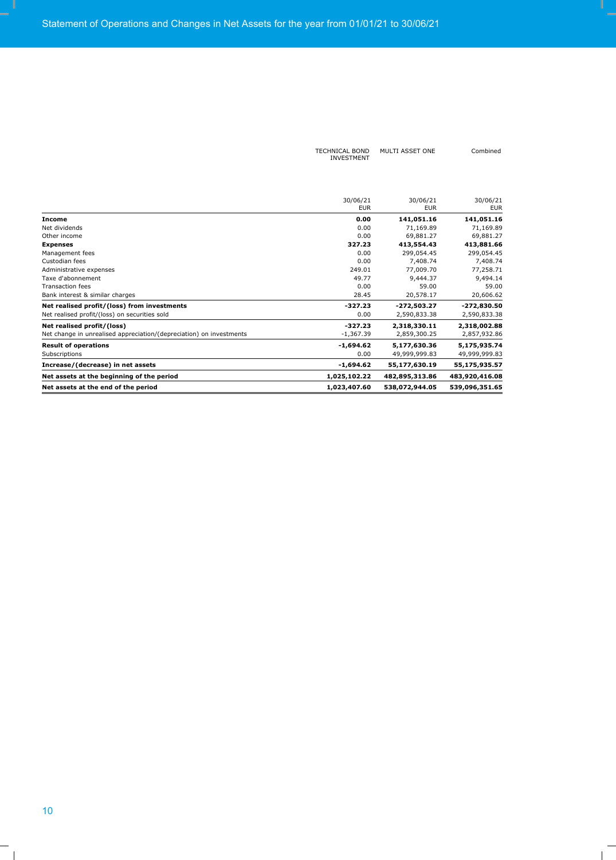| Net assets at the end of the period                                 | 1,023,407.60 | 538,072,944.05          | 539,096,351.65         |
|---------------------------------------------------------------------|--------------|-------------------------|------------------------|
| Net assets at the beginning of the period                           | 1,025,102.22 | 482,895,313.86          | 483,920,416.08         |
| Increase/(decrease) in net assets                                   | $-1,694.62$  | 55,177,630.19           | 55,175,935.57          |
| Subscriptions                                                       | 0.00         | 49,999,999.83           | 49,999,999.83          |
| <b>Result of operations</b>                                         | $-1,694.62$  | 5,177,630.36            | 5,175,935.74           |
| Net change in unrealised appreciation/(depreciation) on investments | $-1,367.39$  | 2,859,300.25            | 2,857,932.86           |
| Net realised profit/(loss)                                          | $-327.23$    | 2,318,330.11            | 2,318,002.88           |
| Net realised profit/(loss) on securities sold                       | 0.00         | 2,590,833.38            | 2,590,833.38           |
| Net realised profit/(loss) from investments                         | $-327.23$    | $-272,503.27$           | $-272,830.50$          |
| Bank interest & similar charges                                     | 28.45        | 20,578.17               | 20,606.62              |
| <b>Transaction fees</b>                                             | 0.00         | 59.00                   | 59.00                  |
| Taxe d'abonnement                                                   | 49.77        | 9,444.37                | 9,494.14               |
| Administrative expenses                                             | 249.01       | 77,009.70               | 77,258.71              |
| Custodian fees                                                      | 0.00         | 7,408.74                | 7,408.74               |
| Management fees                                                     | 0.00         | 299,054.45              | 299,054.45             |
| <b>Expenses</b>                                                     | 327.23       | 413,554.43              | 413,881.66             |
| Other income                                                        | 0.00         | 69.881.27               | 71,169.89<br>69,881.27 |
| <b>Income</b><br>Net dividends                                      | 0.00<br>0.00 | 141,051.16<br>71,169.89 | 141,051.16             |
|                                                                     | <b>EUR</b>   | <b>EUR</b>              | <b>EUR</b>             |
|                                                                     | 30/06/21     | 30/06/21                | 30/06/21               |

TECHNICAL BOND INVESTMENT

MULTI ASSET ONE

Combined

 $\overline{1}$ 

 $\overline{\phantom{a}}$  1

r I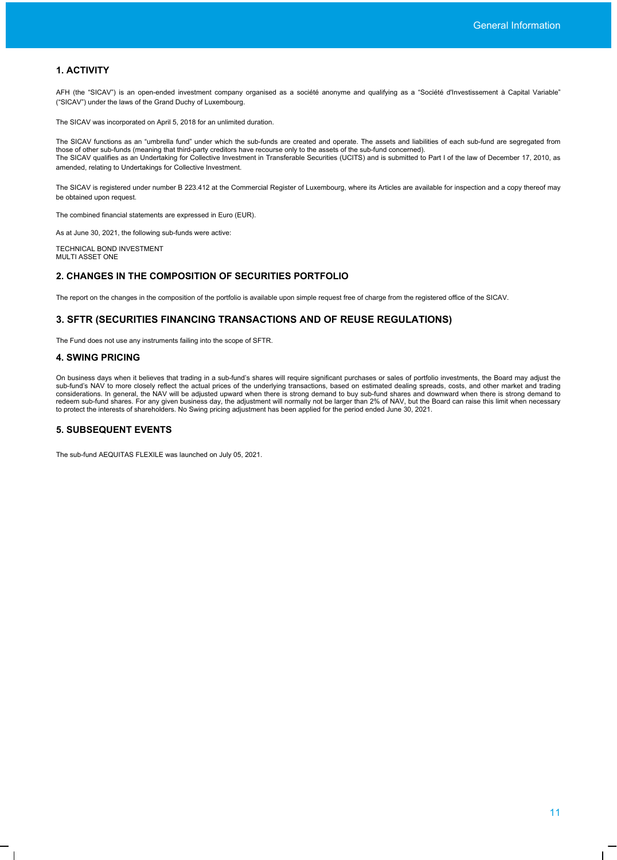## **1. ACTIVITY**

AFH (the "SICAV") is an open-ended investment company organised as a société anonyme and qualifying as a "Société d'Investissement à Capital Variable" ("SICAV") under the laws of the Grand Duchy of Luxembourg.

The SICAV was incorporated on April 5, 2018 for an unlimited duration.

The SICAV functions as an "umbrella fund" under which the sub-funds are created and operate. The assets and liabilities of each sub-fund are segregated from those of other sub-funds (meaning that third-party creditors have recourse only to the assets of the sub-fund concerned). The SICAV qualifies as an Undertaking for Collective Investment in Transferable Securities (UCITS) and is submitted to Part I of the law of December 17, 2010, as amended, relating to Undertakings for Collective Investment.

The SICAV is registered under number B 223.412 at the Commercial Register of Luxembourg, where its Articles are available for inspection and a copy thereof may be obtained upon request.

The combined financial statements are expressed in Euro (EUR).

As at June 30, 2021, the following sub-funds were active:

TECHNICAL BOND INVESTMENT MULTI ASSET ONE

#### **2. CHANGES IN THE COMPOSITION OF SECURITIES PORTFOLIO**

The report on the changes in the composition of the portfolio is available upon simple request free of charge from the registered office of the SICAV.

#### **3. SFTR (SECURITIES FINANCING TRANSACTIONS AND OF REUSE REGULATIONS)**

The Fund does not use any instruments failing into the scope of SFTR.

#### **4. SWING PRICING**

 $\overline{\phantom{a}}$ 

On business days when it believes that trading in a sub-fund's shares will require significant purchases or sales of portfolio investments, the Board may adjust the sub-fund's NAV to more closely reflect the actual prices of the underlying transactions, based on estimated dealing spreads, costs, and other market and trading considerations. In general, the NAV will be adjusted upward when there is strong demand to buy sub-fund shares and downward when there is strong demand to redeem sub-fund shares. For any given business day, the adjustment will normally not be larger than 2% of NAV, but the Board can raise this limit when necessary to protect the interests of shareholders. No Swing pricing adjustment has been applied for the period ended June 30, 2021.

#### **5. SUBSEQUENT EVENTS**

The sub-fund AEQUITAS FLEXILE was launched on July 05, 2021.